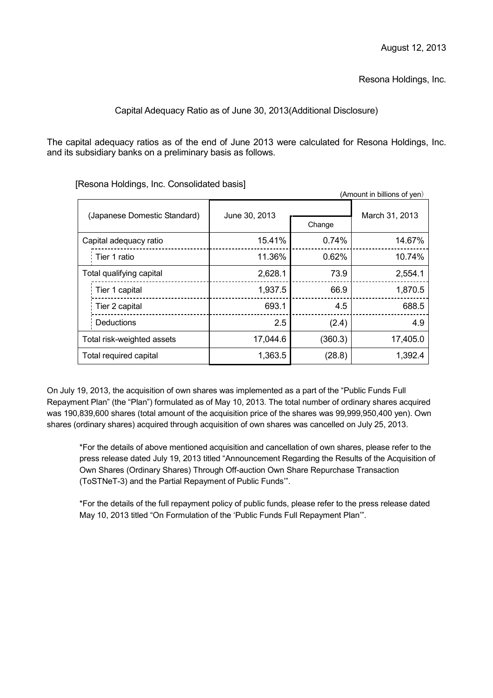Resona Holdings, Inc.

# Capital Adequacy Ratio as of June 30, 2013(Additional Disclosure)

The capital adequacy ratios as of the end of June 2013 were calculated for Resona Holdings, Inc. and its subsidiary banks on a preliminary basis as follows.

| (Amount in billions of yen)  |               |         |                |
|------------------------------|---------------|---------|----------------|
| (Japanese Domestic Standard) | June 30, 2013 | Change  | March 31, 2013 |
| Capital adequacy ratio       | 15.41%        | 0.74%   | 14.67%         |
| Tier 1 ratio                 | 11.36%        | 0.62%   | 10.74%         |
| Total qualifying capital     | 2,628.1       | 73.9    | 2,554.1        |
| Tier 1 capital               | 1,937.5       | 66.9    | 1,870.5        |
| Tier 2 capital               | 693.1         | 4.5     | 688.5          |
| <b>Deductions</b>            | 2.5           | (2.4)   | 4.9            |
| Total risk-weighted assets   | 17,044.6      | (360.3) | 17,405.0       |
| Total required capital       | 1,363.5       | (28.8)  | 1,392.4        |

[Resona Holdings, Inc. Consolidated basis]

On July 19, 2013, the acquisition of own shares was implemented as a part of the "Public Funds Full Repayment Plan" (the "Plan") formulated as of May 10, 2013. The total number of ordinary shares acquired was 190,839,600 shares (total amount of the acquisition price of the shares was 99,999,950,400 yen). Own shares (ordinary shares) acquired through acquisition of own shares was cancelled on July 25, 2013.

\*For the details of above mentioned acquisition and cancellation of own shares, please refer to the press release dated July 19, 2013 titled "Announcement Regarding the Results of the Acquisition of Own Shares (Ordinary Shares) Through Off-auction Own Share Repurchase Transaction (ToSTNeT-3) and the Partial Repayment of Public Funds'".

\*For the details of the full repayment policy of public funds, please refer to the press release dated May 10, 2013 titled "On Formulation of the 'Public Funds Full Repayment Plan'".